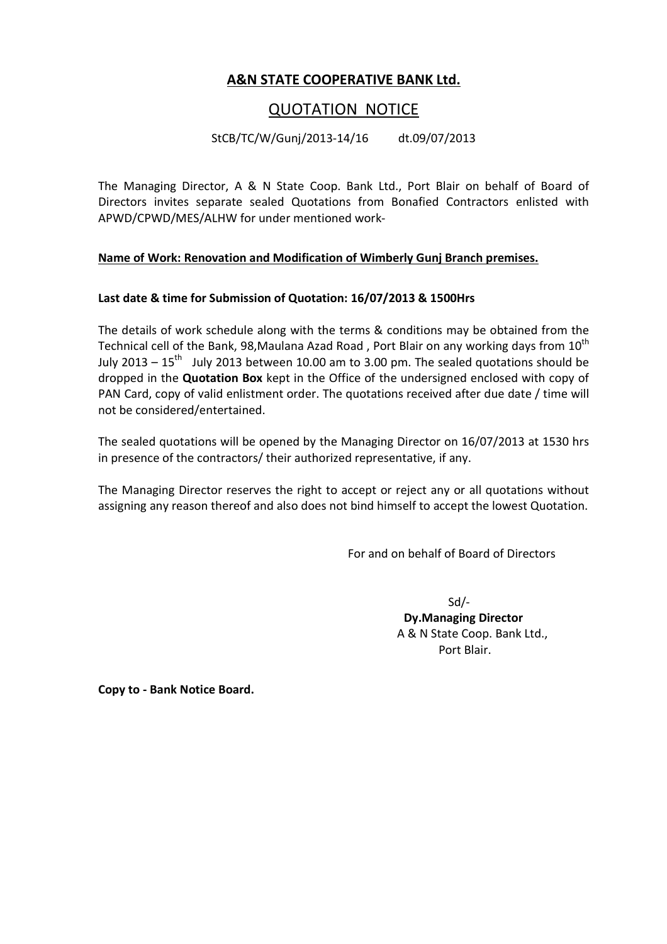## **A&N STATE COOPERATIVE BANK Ltd.**

## QUOTATION NOTICE

StCB/TC/W/Gunj/2013-14/16 dt.09/07/2013

The Managing Director, A & N State Coop. Bank Ltd., Port Blair on behalf of Board of Directors invites separate sealed Quotations from Bonafied Contractors enlisted with APWD/CPWD/MES/ALHW for under mentioned work-

#### **Name of Work: Renovation and Modification of Wimberly Gunj Branch premises.**

#### **Last date & time for Submission of Quotation: 16/07/2013 & 1500Hrs**

The details of work schedule along with the terms & conditions may be obtained from the Technical cell of the Bank, 98, Maulana Azad Road, Port Blair on any working days from  $10^{th}$ July 2013 –  $15^{th}$  July 2013 between 10.00 am to 3.00 pm. The sealed quotations should be dropped in the **Quotation Box** kept in the Office of the undersigned enclosed with copy of PAN Card, copy of valid enlistment order. The quotations received after due date / time will not be considered/entertained.

The sealed quotations will be opened by the Managing Director on 16/07/2013 at 1530 hrs in presence of the contractors/ their authorized representative, if any.

The Managing Director reserves the right to accept or reject any or all quotations without assigning any reason thereof and also does not bind himself to accept the lowest Quotation.

For and on behalf of Board of Directors

 $Sd$  **Dy.Managing Director**  A & N State Coop. Bank Ltd., Port Blair.

**Copy to - Bank Notice Board.**